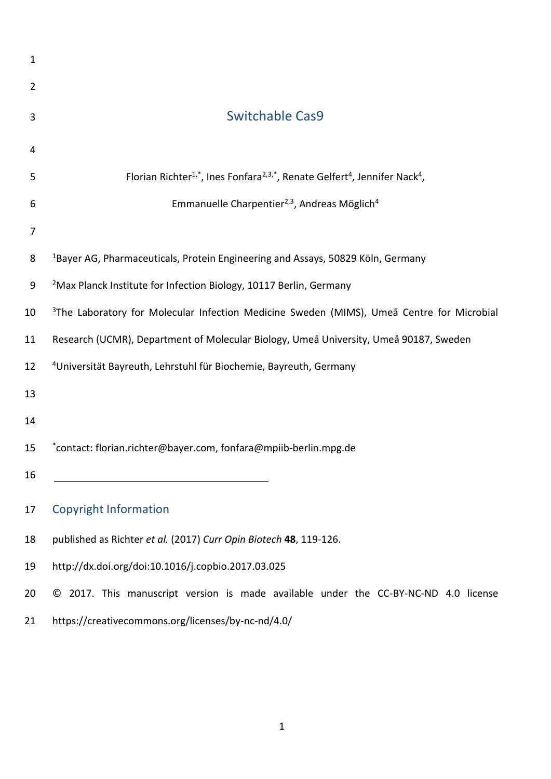| $\mathbf{1}$   |                                                                                                                             |
|----------------|-----------------------------------------------------------------------------------------------------------------------------|
| $\overline{2}$ |                                                                                                                             |
| 3              | <b>Switchable Cas9</b>                                                                                                      |
| 4              |                                                                                                                             |
| 5              | Florian Richter <sup>1,*</sup> , Ines Fonfara <sup>2,3,*</sup> , Renate Gelfert <sup>4</sup> , Jennifer Nack <sup>4</sup> , |
| 6              | Emmanuelle Charpentier <sup>2,3</sup> , Andreas Möglich <sup>4</sup>                                                        |
| 7              |                                                                                                                             |
| 8              | <sup>1</sup> Bayer AG, Pharmaceuticals, Protein Engineering and Assays, 50829 Köln, Germany                                 |
| 9              | <sup>2</sup> Max Planck Institute for Infection Biology, 10117 Berlin, Germany                                              |
| 10             | <sup>3</sup> The Laboratory for Molecular Infection Medicine Sweden (MIMS), Umeå Centre for Microbial                       |
| 11             | Research (UCMR), Department of Molecular Biology, Umeå University, Umeå 90187, Sweden                                       |
| 12             | <sup>4</sup> Universität Bayreuth, Lehrstuhl für Biochemie, Bayreuth, Germany                                               |
| 13             |                                                                                                                             |
| 14             |                                                                                                                             |
| 15             | *contact: florian.richter@bayer.com, fonfara@mpiib-berlin.mpg.de                                                            |
| 16             |                                                                                                                             |
| 17             | <b>Copyright Information</b>                                                                                                |
| 18             | published as Richter et al. (2017) Curr Opin Biotech 48, 119-126.                                                           |
| 19             | http://dx.doi.org/doi:10.1016/j.copbio.2017.03.025                                                                          |
| 20             | © 2017. This manuscript version is made available under the CC-BY-NC-ND 4.0 license                                         |
| 21             | https://creativecommons.org/licenses/by-nc-nd/4.0/                                                                          |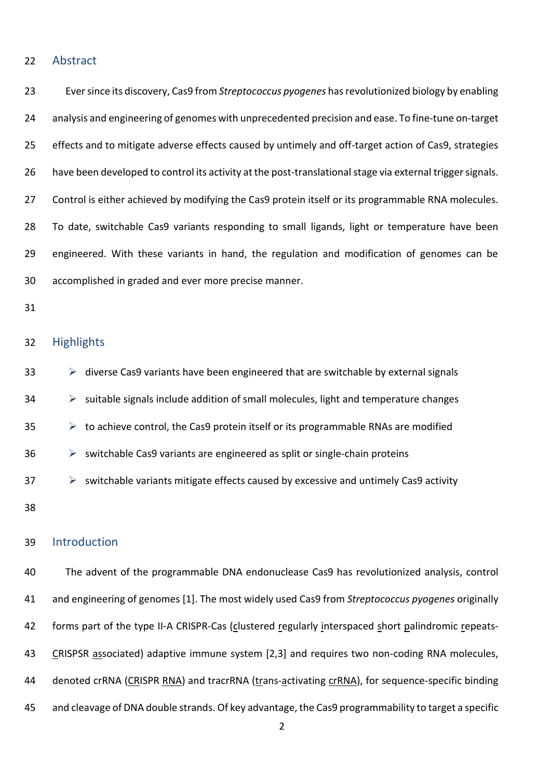#### Abstract

 Ever since its discovery, Cas9 from *Streptococcus pyogenes* has revolutionized biology by enabling analysis and engineering of genomes with unprecedented precision and ease. To fine-tune on-target effects and to mitigate adverse effects caused by untimely and off-target action of Cas9, strategies 26 have been developed to control its activity at the post-translational stage via external trigger signals. 27 Control is either achieved by modifying the Cas9 protein itself or its programmable RNA molecules. To date, switchable Cas9 variants responding to small ligands, light or temperature have been engineered. With these variants in hand, the regulation and modification of genomes can be accomplished in graded and ever more precise manner.

#### Highlights

  $\rightarrow$  diverse Cas9 variants have been engineered that are switchable by external signals 34 > suitable signals include addition of small molecules, light and temperature changes  $\rightarrow$  to achieve control, the Cas9 protein itself or its programmable RNAs are modified ➢ switchable Cas9 variants are engineered as split or single-chain proteins  $\rightarrow$  switchable variants mitigate effects caused by excessive and untimely Cas9 activity 

# Introduction

 The advent of the programmable DNA endonuclease Cas9 has revolutionized analysis, control and engineering of genomes [1]. The most widely used Cas9 from *Streptococcus pyogenes* originally forms part of the type II-A CRISPR-Cas (clustered regularly interspaced short palindromic repeats- CRISPSR associated) adaptive immune system [2,3] and requires two non-coding RNA molecules, 44 denoted crRNA (CRISPR RNA) and tracrRNA (trans-activating crRNA), for sequence-specific binding and cleavage of DNA double strands. Of key advantage, the Cas9 programmability to target a specific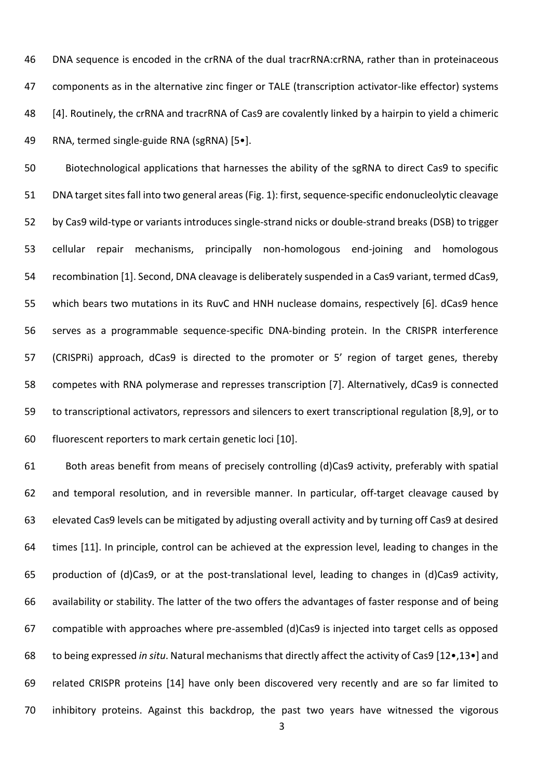DNA sequence is encoded in the crRNA of the dual tracrRNA:crRNA, rather than in proteinaceous components as in the alternative zinc finger or TALE (transcription activator-like effector) systems [4]. Routinely, the crRNA and tracrRNA of Cas9 are covalently linked by a hairpin to yield a chimeric RNA, termed single-guide RNA (sgRNA) [5•].

 Biotechnological applications that harnesses the ability of the sgRNA to direct Cas9 to specific 51 DNA target sites fall into two general areas (Fig. 1): first, sequence-specific endonucleolytic cleavage by Cas9 wild-type or variants introduces single-strand nicks or double-strand breaks (DSB) to trigger cellular repair mechanisms, principally non-homologous end-joining and homologous recombination [1]. Second, DNA cleavage is deliberately suspended in a Cas9 variant, termed dCas9, which bears two mutations in its RuvC and HNH nuclease domains, respectively [6]. dCas9 hence serves as a programmable sequence-specific DNA-binding protein. In the CRISPR interference (CRISPRi) approach, dCas9 is directed to the promoter or 5' region of target genes, thereby competes with RNA polymerase and represses transcription [7]. Alternatively, dCas9 is connected to transcriptional activators, repressors and silencers to exert transcriptional regulation [8,9], or to fluorescent reporters to mark certain genetic loci [10].

 Both areas benefit from means of precisely controlling (d)Cas9 activity, preferably with spatial and temporal resolution, and in reversible manner. In particular, off-target cleavage caused by elevated Cas9 levels can be mitigated by adjusting overall activity and by turning off Cas9 at desired times [11]. In principle, control can be achieved at the expression level, leading to changes in the production of (d)Cas9, or at the post-translational level, leading to changes in (d)Cas9 activity, availability or stability. The latter of the two offers the advantages of faster response and of being compatible with approaches where pre-assembled (d)Cas9 is injected into target cells as opposed to being expressed *in situ*. Natural mechanisms that directly affect the activity of Cas9 [12•,13•] and related CRISPR proteins [14] have only been discovered very recently and are so far limited to inhibitory proteins. Against this backdrop, the past two years have witnessed the vigorous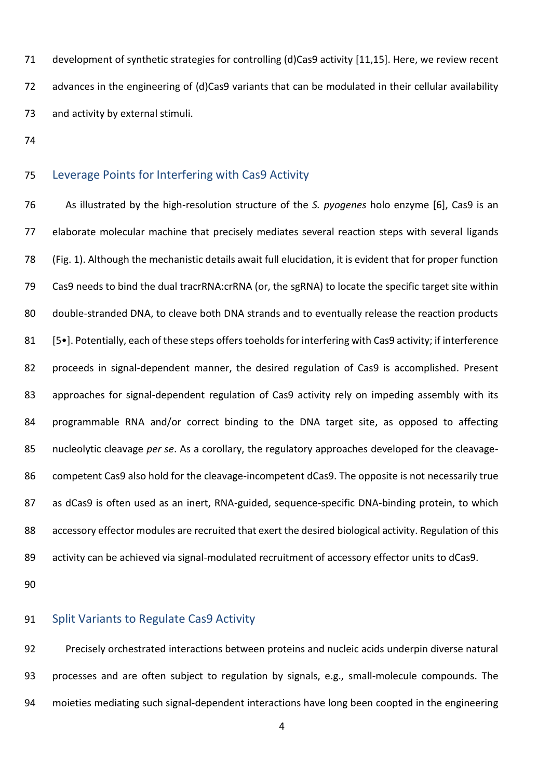development of synthetic strategies for controlling (d)Cas9 activity [11,15]. Here, we review recent advances in the engineering of (d)Cas9 variants that can be modulated in their cellular availability and activity by external stimuli.

## Leverage Points for Interfering with Cas9 Activity

 As illustrated by the high-resolution structure of the *S. pyogenes* holo enzyme [6], Cas9 is an elaborate molecular machine that precisely mediates several reaction steps with several ligands (Fig. 1). Although the mechanistic details await full elucidation, it is evident that for proper function Cas9 needs to bind the dual tracrRNA:crRNA (or, the sgRNA) to locate the specific target site within 80 double-stranded DNA, to cleave both DNA strands and to eventually release the reaction products 81 [5•]. Potentially, each of these steps offers toeholds for interfering with Cas9 activity; if interference proceeds in signal-dependent manner, the desired regulation of Cas9 is accomplished. Present 83 approaches for signal-dependent regulation of Cas9 activity rely on impeding assembly with its programmable RNA and/or correct binding to the DNA target site, as opposed to affecting nucleolytic cleavage *per se*. As a corollary, the regulatory approaches developed for the cleavage-86 competent Cas9 also hold for the cleavage-incompetent dCas9. The opposite is not necessarily true 87 as dCas9 is often used as an inert, RNA-guided, sequence-specific DNA-binding protein, to which 88 accessory effector modules are recruited that exert the desired biological activity. Regulation of this 89 activity can be achieved via signal-modulated recruitment of accessory effector units to dCas9.

# Split Variants to Regulate Cas9 Activity

 Precisely orchestrated interactions between proteins and nucleic acids underpin diverse natural processes and are often subject to regulation by signals, e.g., small-molecule compounds. The moieties mediating such signal-dependent interactions have long been coopted in the engineering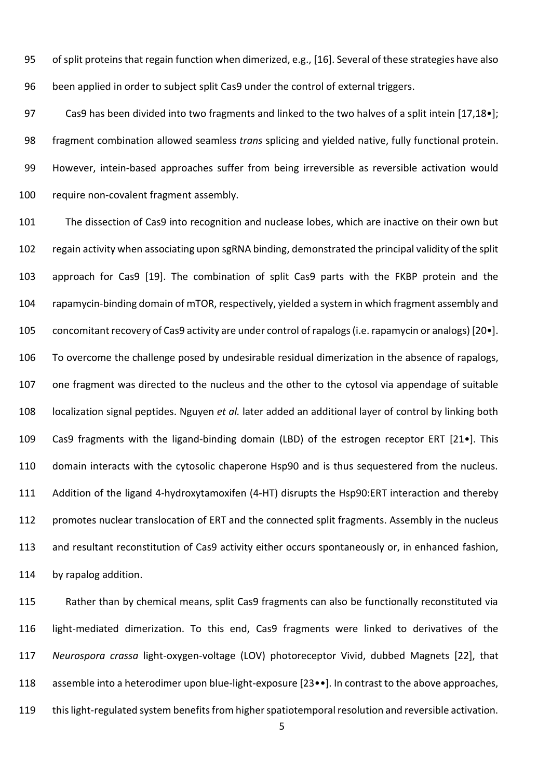of split proteins that regain function when dimerized, e.g., [16]. Several of these strategies have also been applied in order to subject split Cas9 under the control of external triggers.

97 Cas9 has been divided into two fragments and linked to the two halves of a split intein [17,18•]; fragment combination allowed seamless *trans* splicing and yielded native, fully functional protein. However, intein-based approaches suffer from being irreversible as reversible activation would require non-covalent fragment assembly.

 The dissection of Cas9 into recognition and nuclease lobes, which are inactive on their own but regain activity when associating upon sgRNA binding, demonstrated the principal validity of the split approach for Cas9 [19]. The combination of split Cas9 parts with the FKBP protein and the rapamycin-binding domain of mTOR, respectively, yielded a system in which fragment assembly and 105 concomitant recovery of Cas9 activity are under control of rapalogs (i.e. rapamycin or analogs) [20•]. To overcome the challenge posed by undesirable residual dimerization in the absence of rapalogs, one fragment was directed to the nucleus and the other to the cytosol via appendage of suitable localization signal peptides. Nguyen *et al.* later added an additional layer of control by linking both Cas9 fragments with the ligand-binding domain (LBD) of the estrogen receptor ERT [21•]. This domain interacts with the cytosolic chaperone Hsp90 and is thus sequestered from the nucleus. Addition of the ligand 4-hydroxytamoxifen (4-HT) disrupts the Hsp90:ERT interaction and thereby 112 promotes nuclear translocation of ERT and the connected split fragments. Assembly in the nucleus and resultant reconstitution of Cas9 activity either occurs spontaneously or, in enhanced fashion, 114 by rapalog addition.

 Rather than by chemical means, split Cas9 fragments can also be functionally reconstituted via light-mediated dimerization. To this end, Cas9 fragments were linked to derivatives of the *Neurospora crassa* light-oxygen-voltage (LOV) photoreceptor Vivid, dubbed Magnets [22], that 118 assemble into a heterodimer upon blue-light-exposure [23••]. In contrast to the above approaches, this light-regulated system benefits from higher spatiotemporal resolution and reversible activation.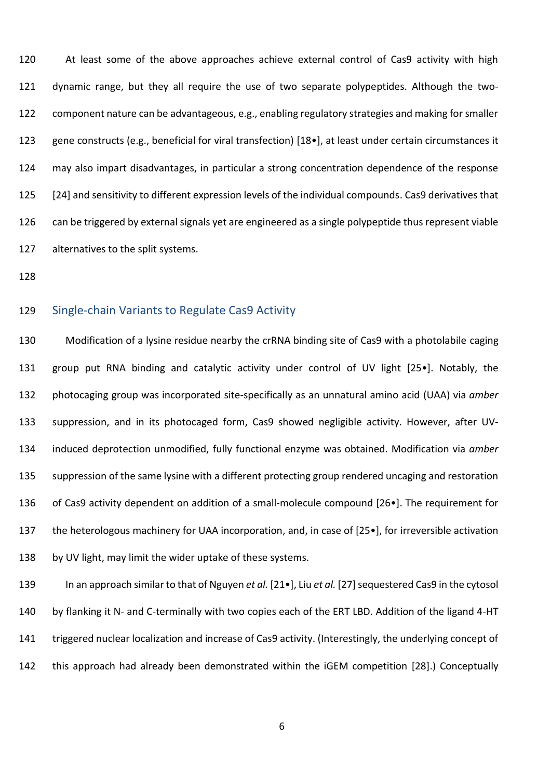At least some of the above approaches achieve external control of Cas9 activity with high dynamic range, but they all require the use of two separate polypeptides. Although the two- component nature can be advantageous, e.g., enabling regulatory strategies and making for smaller gene constructs (e.g., beneficial for viral transfection) [18•], at least under certain circumstances it may also impart disadvantages, in particular a strong concentration dependence of the response [24] and sensitivity to different expression levels of the individual compounds. Cas9 derivatives that can be triggered by external signals yet are engineered as a single polypeptide thus represent viable alternatives to the split systems.

## Single-chain Variants to Regulate Cas9 Activity

 Modification of a lysine residue nearby the crRNA binding site of Cas9 with a photolabile caging group put RNA binding and catalytic activity under control of UV light [25•]. Notably, the photocaging group was incorporated site-specifically as an unnatural amino acid (UAA) via *amber* suppression, and in its photocaged form, Cas9 showed negligible activity. However, after UV- induced deprotection unmodified, fully functional enzyme was obtained. Modification via *amber* suppression of the same lysine with a different protecting group rendered uncaging and restoration of Cas9 activity dependent on addition of a small-molecule compound [26•]. The requirement for 137 the heterologous machinery for UAA incorporation, and, in case of [25•], for irreversible activation by UV light, may limit the wider uptake of these systems.

139 In an approach similar to that of Nguyen *et al.* [21•], Liu *et al.* [27] sequestered Cas9 in the cytosol by flanking it N- and C-terminally with two copies each of the ERT LBD. Addition of the ligand 4-HT triggered nuclear localization and increase of Cas9 activity. (Interestingly, the underlying concept of this approach had already been demonstrated within the iGEM competition [28].) Conceptually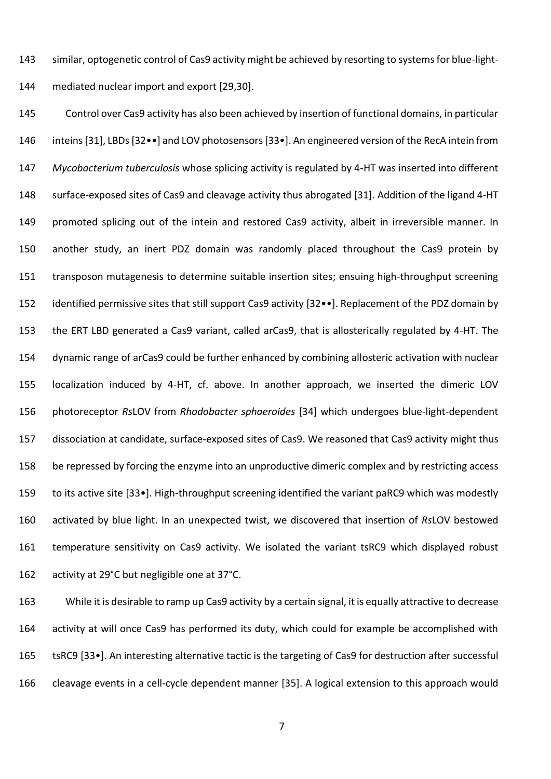similar, optogenetic control of Cas9 activity might be achieved by resorting to systems for blue-light-mediated nuclear import and export [29,30].

 Control over Cas9 activity has also been achieved by insertion of functional domains, in particular 146 inteins [31], LBDs [32••] and LOV photosensors [33•]. An engineered version of the RecA intein from *Mycobacterium tuberculosis* whose splicing activity is regulated by 4-HT was inserted into different surface-exposed sites of Cas9 and cleavage activity thus abrogated [31]. Addition of the ligand 4-HT promoted splicing out of the intein and restored Cas9 activity, albeit in irreversible manner. In another study, an inert PDZ domain was randomly placed throughout the Cas9 protein by transposon mutagenesis to determine suitable insertion sites; ensuing high-throughput screening 152 identified permissive sites that still support Cas9 activity [32.0]. Replacement of the PDZ domain by the ERT LBD generated a Cas9 variant, called arCas9, that is allosterically regulated by 4-HT. The dynamic range of arCas9 could be further enhanced by combining allosteric activation with nuclear localization induced by 4-HT, cf. above. In another approach, we inserted the dimeric LOV photoreceptor *Rs*LOV from *Rhodobacter sphaeroides* [34] which undergoes blue-light-dependent dissociation at candidate, surface-exposed sites of Cas9. We reasoned that Cas9 activity might thus be repressed by forcing the enzyme into an unproductive dimeric complex and by restricting access to its active site [33•]. High-throughput screening identified the variant paRC9 which was modestly activated by blue light. In an unexpected twist, we discovered that insertion of *Rs*LOV bestowed temperature sensitivity on Cas9 activity. We isolated the variant tsRC9 which displayed robust activity at 29°C but negligible one at 37°C.

 While it is desirable to ramp up Cas9 activity by a certain signal, it is equally attractive to decrease activity at will once Cas9 has performed its duty, which could for example be accomplished with tsRC9 [33•]. An interesting alternative tactic is the targeting of Cas9 for destruction after successful cleavage events in a cell-cycle dependent manner [35]. A logical extension to this approach would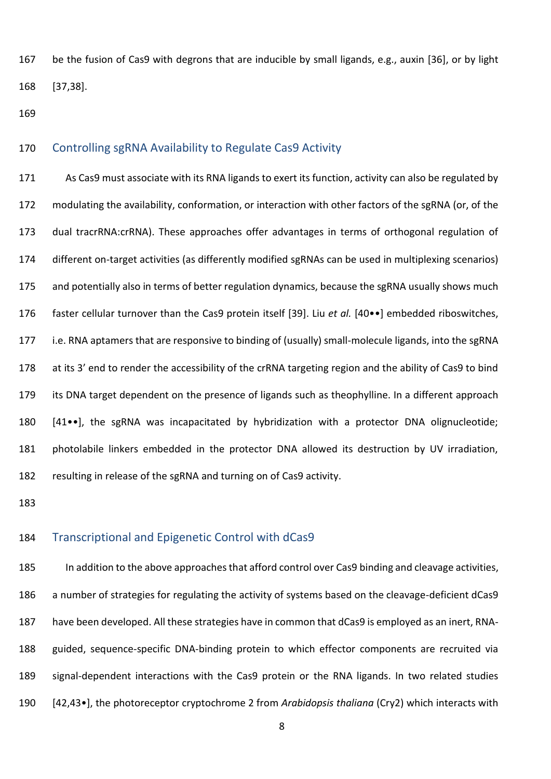be the fusion of Cas9 with degrons that are inducible by small ligands, e.g., auxin [36], or by light [37,38].

# Controlling sgRNA Availability to Regulate Cas9 Activity

 As Cas9 must associate with its RNA ligands to exert its function, activity can also be regulated by modulating the availability, conformation, or interaction with other factors of the sgRNA (or, of the dual tracrRNA:crRNA). These approaches offer advantages in terms of orthogonal regulation of different on-target activities (as differently modified sgRNAs can be used in multiplexing scenarios) 175 and potentially also in terms of better regulation dynamics, because the sgRNA usually shows much faster cellular turnover than the Cas9 protein itself [39]. Liu *et al.* [40••] embedded riboswitches, i.e. RNA aptamers that are responsive to binding of (usually) small-molecule ligands, into the sgRNA at its 3' end to render the accessibility of the crRNA targeting region and the ability of Cas9 to bind its DNA target dependent on the presence of ligands such as theophylline. In a different approach [41••], the sgRNA was incapacitated by hybridization with a protector DNA olignucleotide; photolabile linkers embedded in the protector DNA allowed its destruction by UV irradiation, resulting in release of the sgRNA and turning on of Cas9 activity.

## Transcriptional and Epigenetic Control with dCas9

 In addition to the above approaches that afford control over Cas9 binding and cleavage activities, a number of strategies for regulating the activity of systems based on the cleavage-deficient dCas9 have been developed. All these strategies have in common that dCas9 is employed as an inert, RNA- guided, sequence-specific DNA-binding protein to which effector components are recruited via signal-dependent interactions with the Cas9 protein or the RNA ligands. In two related studies [42,43•], the photoreceptor cryptochrome 2 from *Arabidopsis thaliana* (Cry2) which interacts with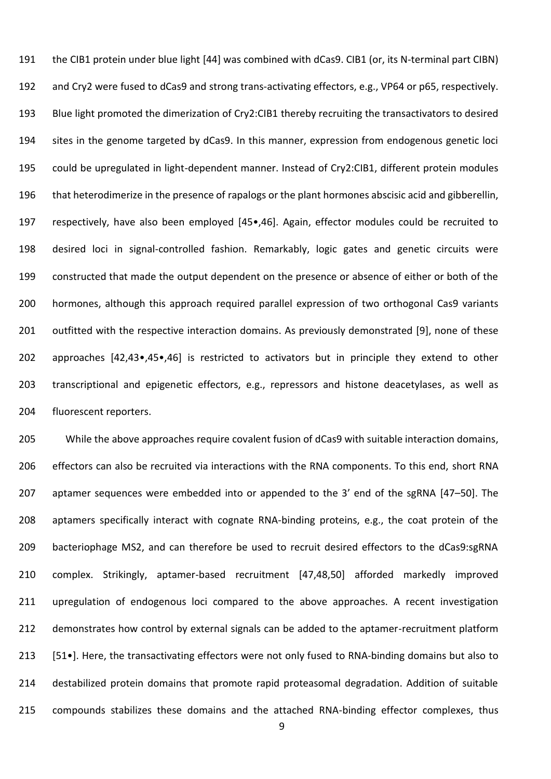the CIB1 protein under blue light [44] was combined with dCas9. CIB1 (or, its N-terminal part CIBN) and Cry2 were fused to dCas9 and strong trans-activating effectors, e.g., VP64 or p65, respectively. Blue light promoted the dimerization of Cry2:CIB1 thereby recruiting the transactivators to desired sites in the genome targeted by dCas9. In this manner, expression from endogenous genetic loci could be upregulated in light-dependent manner. Instead of Cry2:CIB1, different protein modules that heterodimerize in the presence of rapalogs or the plant hormones abscisic acid and gibberellin, respectively, have also been employed [45•,46]. Again, effector modules could be recruited to desired loci in signal-controlled fashion. Remarkably, logic gates and genetic circuits were constructed that made the output dependent on the presence or absence of either or both of the hormones, although this approach required parallel expression of two orthogonal Cas9 variants 201 outfitted with the respective interaction domains. As previously demonstrated [9], none of these approaches [42,43•,45•,46] is restricted to activators but in principle they extend to other transcriptional and epigenetic effectors, e.g., repressors and histone deacetylases, as well as fluorescent reporters.

 While the above approaches require covalent fusion of dCas9 with suitable interaction domains, effectors can also be recruited via interactions with the RNA components. To this end, short RNA aptamer sequences were embedded into or appended to the 3' end of the sgRNA [47–50]. The aptamers specifically interact with cognate RNA-binding proteins, e.g., the coat protein of the bacteriophage MS2, and can therefore be used to recruit desired effectors to the dCas9:sgRNA complex. Strikingly, aptamer-based recruitment [47,48,50] afforded markedly improved upregulation of endogenous loci compared to the above approaches. A recent investigation demonstrates how control by external signals can be added to the aptamer-recruitment platform 213 [51•]. Here, the transactivating effectors were not only fused to RNA-binding domains but also to destabilized protein domains that promote rapid proteasomal degradation. Addition of suitable compounds stabilizes these domains and the attached RNA-binding effector complexes, thus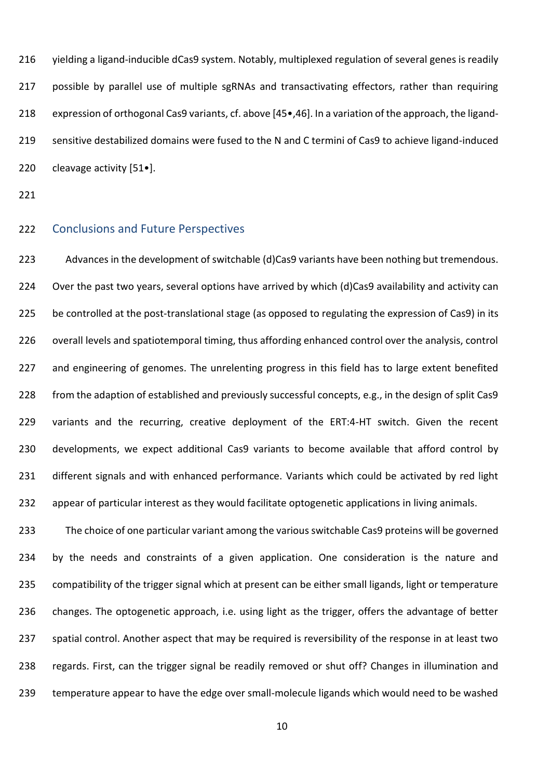yielding a ligand-inducible dCas9 system. Notably, multiplexed regulation of several genes is readily 217 possible by parallel use of multiple sgRNAs and transactivating effectors, rather than requiring expression of orthogonal Cas9 variants, cf. above [45•,46]. In a variation of the approach, the ligand- sensitive destabilized domains were fused to the N and C termini of Cas9 to achieve ligand-induced 220 cleavage activity [51•].

## Conclusions and Future Perspectives

 Advances in the development of switchable (d)Cas9 variants have been nothing but tremendous. Over the past two years, several options have arrived by which (d)Cas9 availability and activity can 225 be controlled at the post-translational stage (as opposed to regulating the expression of Cas9) in its 226 overall levels and spatiotemporal timing, thus affording enhanced control over the analysis, control 227 and engineering of genomes. The unrelenting progress in this field has to large extent benefited 228 from the adaption of established and previously successful concepts, e.g., in the design of split Cas9 variants and the recurring, creative deployment of the ERT:4-HT switch. Given the recent developments, we expect additional Cas9 variants to become available that afford control by 231 different signals and with enhanced performance. Variants which could be activated by red light appear of particular interest as they would facilitate optogenetic applications in living animals.

 The choice of one particular variant among the various switchable Cas9 proteins will be governed by the needs and constraints of a given application. One consideration is the nature and compatibility of the trigger signal which at present can be either small ligands, light or temperature changes. The optogenetic approach, i.e. using light as the trigger, offers the advantage of better spatial control. Another aspect that may be required is reversibility of the response in at least two regards. First, can the trigger signal be readily removed or shut off? Changes in illumination and temperature appear to have the edge over small-molecule ligands which would need to be washed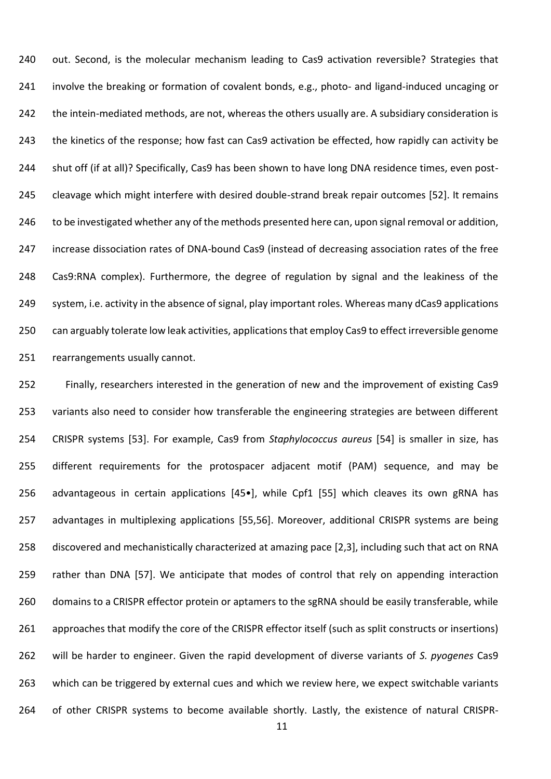240 out. Second, is the molecular mechanism leading to Cas9 activation reversible? Strategies that involve the breaking or formation of covalent bonds, e.g., photo- and ligand-induced uncaging or the intein-mediated methods, are not, whereas the others usually are. A subsidiary consideration is the kinetics of the response; how fast can Cas9 activation be effected, how rapidly can activity be shut off (if at all)? Specifically, Cas9 has been shown to have long DNA residence times, even post- cleavage which might interfere with desired double-strand break repair outcomes [52]. It remains 246 to be investigated whether any of the methods presented here can, upon signal removal or addition, increase dissociation rates of DNA-bound Cas9 (instead of decreasing association rates of the free Cas9:RNA complex). Furthermore, the degree of regulation by signal and the leakiness of the 249 system, i.e. activity in the absence of signal, play important roles. Whereas many dCas9 applications can arguably tolerate low leak activities, applicationsthat employ Cas9 to effect irreversible genome rearrangements usually cannot.

 Finally, researchers interested in the generation of new and the improvement of existing Cas9 variants also need to consider how transferable the engineering strategies are between different CRISPR systems [53]. For example, Cas9 from *Staphylococcus aureus* [54] is smaller in size, has different requirements for the protospacer adjacent motif (PAM) sequence, and may be 256 advantageous in certain applications [45•], while Cpf1 [55] which cleaves its own gRNA has advantages in multiplexing applications [55,56]. Moreover, additional CRISPR systems are being discovered and mechanistically characterized at amazing pace [2,3], including such that act on RNA rather than DNA [57]. We anticipate that modes of control that rely on appending interaction 260 domains to a CRISPR effector protein or aptamers to the sgRNA should be easily transferable, while approaches that modify the core of the CRISPR effector itself (such as split constructs or insertions) will be harder to engineer. Given the rapid development of diverse variants of *S. pyogenes* Cas9 263 which can be triggered by external cues and which we review here, we expect switchable variants of other CRISPR systems to become available shortly. Lastly, the existence of natural CRISPR-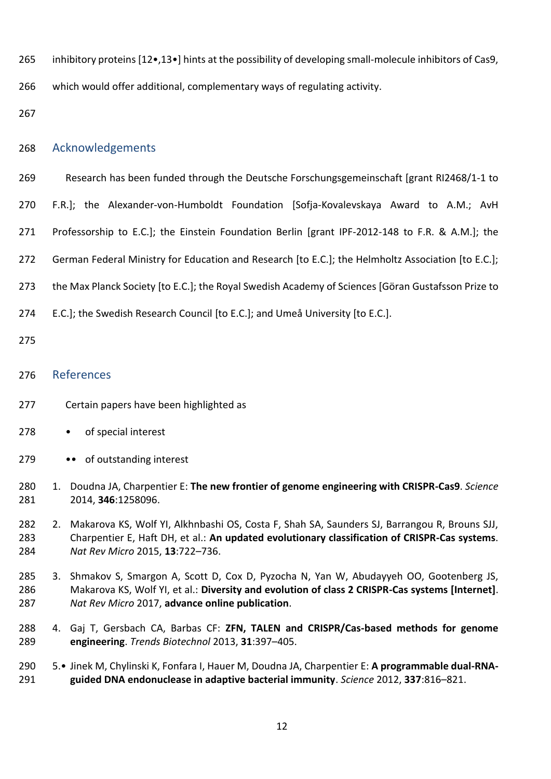265 inhibitory proteins [12•,13•] hints at the possibility of developing small-molecule inhibitors of Cas9,

which would offer additional, complementary ways of regulating activity.

## Acknowledgements

- Research has been funded through the Deutsche Forschungsgemeinschaft [grant RI2468/1-1 to
- F.R.]; the Alexander-von-Humboldt Foundation [Sofja-Kovalevskaya Award to A.M.; AvH
- Professorship to E.C.]; the Einstein Foundation Berlin [grant IPF-2012-148 to F.R. & A.M.]; the
- 272 German Federal Ministry for Education and Research [to E.C.]; the Helmholtz Association [to E.C.];
- the Max Planck Society [to E.C.]; the Royal Swedish Academy of Sciences [Göran Gustafsson Prize to
- E.C.]; the Swedish Research Council [to E.C.]; and Umeå University [to E.C.].
- 

# References

- Certain papers have been highlighted as
- 278 of special interest
- •• of outstanding interest
- 1. Doudna JA, Charpentier E: **The new frontier of genome engineering with CRISPR-Cas9**. *Science* 2014, **346**:1258096.
- 2. Makarova KS, Wolf YI, Alkhnbashi OS, Costa F, Shah SA, Saunders SJ, Barrangou R, Brouns SJJ, Charpentier E, Haft DH, et al.: **An updated evolutionary classification of CRISPR-Cas systems**. *Nat Rev Micro* 2015, **13**:722–736.
- 3. Shmakov S, Smargon A, Scott D, Cox D, Pyzocha N, Yan W, Abudayyeh OO, Gootenberg JS, Makarova KS, Wolf YI, et al.: **Diversity and evolution of class 2 CRISPR-Cas systems [Internet]**. *Nat Rev Micro* 2017, **advance online publication**.
- 4. Gaj T, Gersbach CA, Barbas CF: **ZFN, TALEN and CRISPR/Cas-based methods for genome engineering**. *Trends Biotechnol* 2013, **31**:397–405.
- 5.• Jinek M, Chylinski K, Fonfara I, Hauer M, Doudna JA, Charpentier E: **A programmable dual-RNA-guided DNA endonuclease in adaptive bacterial immunity**. *Science* 2012, **337**:816–821.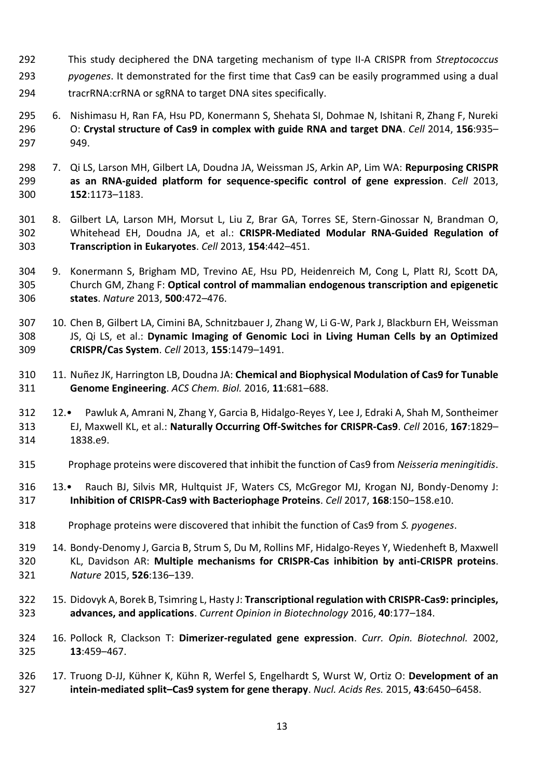- This study deciphered the DNA targeting mechanism of type II-A CRISPR from *Streptococcus pyogenes*. It demonstrated for the first time that Cas9 can be easily programmed using a dual
- tracrRNA:crRNA or sgRNA to target DNA sites specifically.
- 6. Nishimasu H, Ran FA, Hsu PD, Konermann S, Shehata SI, Dohmae N, Ishitani R, Zhang F, Nureki O: **Crystal structure of Cas9 in complex with guide RNA and target DNA**. *Cell* 2014, **156**:935– 949.
- 7. Qi LS, Larson MH, Gilbert LA, Doudna JA, Weissman JS, Arkin AP, Lim WA: **Repurposing CRISPR as an RNA-guided platform for sequence-specific control of gene expression**. *Cell* 2013, **152**:1173–1183.
- 8. Gilbert LA, Larson MH, Morsut L, Liu Z, Brar GA, Torres SE, Stern-Ginossar N, Brandman O, Whitehead EH, Doudna JA, et al.: **CRISPR-Mediated Modular RNA-Guided Regulation of Transcription in Eukaryotes**. *Cell* 2013, **154**:442–451.
- 9. Konermann S, Brigham MD, Trevino AE, Hsu PD, Heidenreich M, Cong L, Platt RJ, Scott DA, Church GM, Zhang F: **Optical control of mammalian endogenous transcription and epigenetic states**. *Nature* 2013, **500**:472–476.
- 10. Chen B, Gilbert LA, Cimini BA, Schnitzbauer J, Zhang W, Li G-W, Park J, Blackburn EH, Weissman JS, Qi LS, et al.: **Dynamic Imaging of Genomic Loci in Living Human Cells by an Optimized CRISPR/Cas System**. *Cell* 2013, **155**:1479–1491.
- 11. Nuñez JK, Harrington LB, Doudna JA: **Chemical and Biophysical Modulation of Cas9 for Tunable Genome Engineering**. *ACS Chem. Biol.* 2016, **11**:681–688.
- 12.• Pawluk A, Amrani N, Zhang Y, Garcia B, Hidalgo-Reyes Y, Lee J, Edraki A, Shah M, Sontheimer EJ, Maxwell KL, et al.: **Naturally Occurring Off-Switches for CRISPR-Cas9**. *Cell* 2016, **167**:1829– 1838.e9.
- Prophage proteins were discovered that inhibit the function of Cas9 from *Neisseria meningitidis*.
- 13.• Rauch BJ, Silvis MR, Hultquist JF, Waters CS, McGregor MJ, Krogan NJ, Bondy-Denomy J: **Inhibition of CRISPR-Cas9 with Bacteriophage Proteins**. *Cell* 2017, **168**:150–158.e10.
- Prophage proteins were discovered that inhibit the function of Cas9 from *S. pyogenes*.
- 14. Bondy-Denomy J, Garcia B, Strum S, Du M, Rollins MF, Hidalgo-Reyes Y, Wiedenheft B, Maxwell KL, Davidson AR: **Multiple mechanisms for CRISPR-Cas inhibition by anti-CRISPR proteins**. *Nature* 2015, **526**:136–139.
- 15. Didovyk A, Borek B, Tsimring L, Hasty J: **Transcriptional regulation with CRISPR-Cas9: principles, advances, and applications**. *Current Opinion in Biotechnology* 2016, **40**:177–184.
- 16. Pollock R, Clackson T: **Dimerizer-regulated gene expression**. *Curr. Opin. Biotechnol.* 2002, **13**:459–467.
- 17. Truong D-JJ, Kühner K, Kühn R, Werfel S, Engelhardt S, Wurst W, Ortiz O: **Development of an intein-mediated split–Cas9 system for gene therapy**. *Nucl. Acids Res.* 2015, **43**:6450–6458.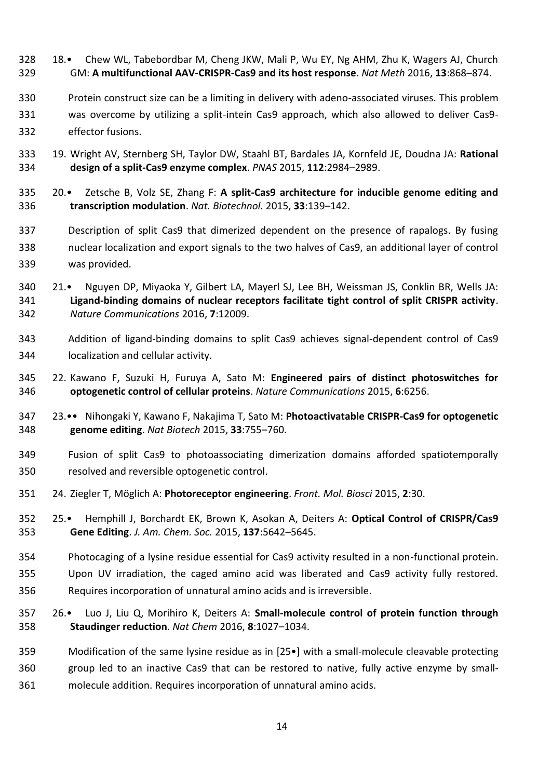- 18.• Chew WL, Tabebordbar M, Cheng JKW, Mali P, Wu EY, Ng AHM, Zhu K, Wagers AJ, Church GM: **A multifunctional AAV-CRISPR-Cas9 and its host response**. *Nat Meth* 2016, **13**:868–874.
- Protein construct size can be a limiting in delivery with adeno-associated viruses. This problem was overcome by utilizing a split-intein Cas9 approach, which also allowed to deliver Cas9- effector fusions.
- 19. Wright AV, Sternberg SH, Taylor DW, Staahl BT, Bardales JA, Kornfeld JE, Doudna JA: **Rational design of a split-Cas9 enzyme complex**. *PNAS* 2015, **112**:2984–2989.
- 20.• Zetsche B, Volz SE, Zhang F: **A split-Cas9 architecture for inducible genome editing and transcription modulation**. *Nat. Biotechnol.* 2015, **33**:139–142.
- Description of split Cas9 that dimerized dependent on the presence of rapalogs. By fusing nuclear localization and export signals to the two halves of Cas9, an additional layer of control was provided.
- 21.• Nguyen DP, Miyaoka Y, Gilbert LA, Mayerl SJ, Lee BH, Weissman JS, Conklin BR, Wells JA: **Ligand-binding domains of nuclear receptors facilitate tight control of split CRISPR activity**. *Nature Communications* 2016, **7**:12009.
- Addition of ligand-binding domains to split Cas9 achieves signal-dependent control of Cas9 localization and cellular activity.
- 22. Kawano F, Suzuki H, Furuya A, Sato M: **Engineered pairs of distinct photoswitches for optogenetic control of cellular proteins**. *Nature Communications* 2015, **6**:6256.
- 23.•• Nihongaki Y, Kawano F, Nakajima T, Sato M: **Photoactivatable CRISPR-Cas9 for optogenetic genome editing**. *Nat Biotech* 2015, **33**:755–760.
- Fusion of split Cas9 to photoassociating dimerization domains afforded spatiotemporally resolved and reversible optogenetic control.
- 24. Ziegler T, Möglich A: **Photoreceptor engineering**. *Front. Mol. Biosci* 2015, **2**:30.
- 25.• Hemphill J, Borchardt EK, Brown K, Asokan A, Deiters A: **Optical Control of CRISPR/Cas9 Gene Editing**. *J. Am. Chem. Soc.* 2015, **137**:5642–5645.
- Photocaging of a lysine residue essential for Cas9 activity resulted in a non-functional protein. Upon UV irradiation, the caged amino acid was liberated and Cas9 activity fully restored. Requires incorporation of unnatural amino acids and is irreversible.
- 26.• Luo J, Liu Q, Morihiro K, Deiters A: **Small-molecule control of protein function through Staudinger reduction**. *Nat Chem* 2016, **8**:1027–1034.
- Modification of the same lysine residue as in [25•] with a small-molecule cleavable protecting group led to an inactive Cas9 that can be restored to native, fully active enzyme by small-molecule addition. Requires incorporation of unnatural amino acids.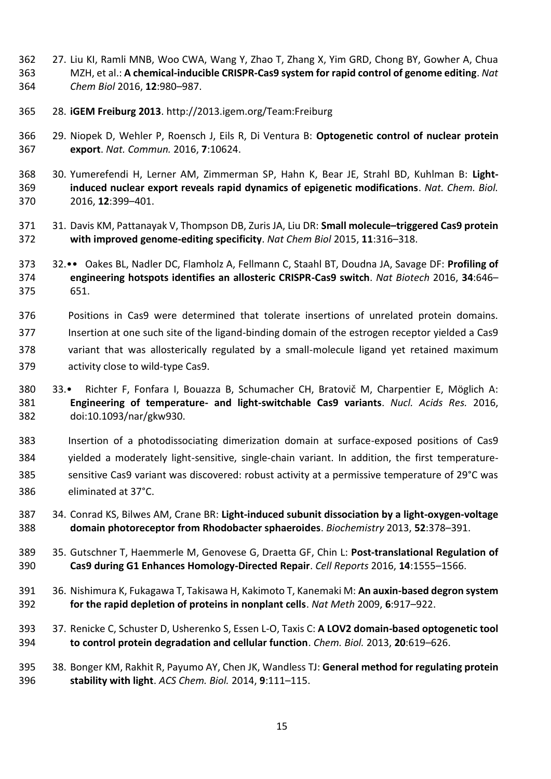- 27. Liu KI, Ramli MNB, Woo CWA, Wang Y, Zhao T, Zhang X, Yim GRD, Chong BY, Gowher A, Chua MZH, et al.: **A chemical-inducible CRISPR-Cas9 system for rapid control of genome editing**. *Nat Chem Biol* 2016, **12**:980–987.
- 28. **iGEM Freiburg 2013**. http://2013.igem.org/Team:Freiburg
- 29. Niopek D, Wehler P, Roensch J, Eils R, Di Ventura B: **Optogenetic control of nuclear protein export**. *Nat. Commun.* 2016, **7**:10624.
- 30. Yumerefendi H, Lerner AM, Zimmerman SP, Hahn K, Bear JE, Strahl BD, Kuhlman B: **Light- induced nuclear export reveals rapid dynamics of epigenetic modifications**. *Nat. Chem. Biol.* 2016, **12**:399–401.
- 31. Davis KM, Pattanayak V, Thompson DB, Zuris JA, Liu DR: **Small molecule–triggered Cas9 protein with improved genome-editing specificity**. *Nat Chem Biol* 2015, **11**:316–318.
- 32.•• Oakes BL, Nadler DC, Flamholz A, Fellmann C, Staahl BT, Doudna JA, Savage DF: **Profiling of engineering hotspots identifies an allosteric CRISPR-Cas9 switch**. *Nat Biotech* 2016, **34**:646– 651.
- Positions in Cas9 were determined that tolerate insertions of unrelated protein domains.
- Insertion at one such site of the ligand-binding domain of the estrogen receptor yielded a Cas9
- variant that was allosterically regulated by a small-molecule ligand yet retained maximum activity close to wild-type Cas9.
- 33.• Richter F, Fonfara I, Bouazza B, Schumacher CH, Bratovič M, Charpentier E, Möglich A: **Engineering of temperature- and light-switchable Cas9 variants**. *Nucl. Acids Res.* 2016, doi:10.1093/nar/gkw930.
- Insertion of a photodissociating dimerization domain at surface-exposed positions of Cas9 yielded a moderately light-sensitive, single-chain variant. In addition, the first temperature- sensitive Cas9 variant was discovered: robust activity at a permissive temperature of 29°C was eliminated at 37°C.
- 34. Conrad KS, Bilwes AM, Crane BR: **Light-induced subunit dissociation by a light-oxygen-voltage domain photoreceptor from Rhodobacter sphaeroides**. *Biochemistry* 2013, **52**:378–391.
- 35. Gutschner T, Haemmerle M, Genovese G, Draetta GF, Chin L: **Post-translational Regulation of Cas9 during G1 Enhances Homology-Directed Repair**. *Cell Reports* 2016, **14**:1555–1566.
- 36. Nishimura K, Fukagawa T, Takisawa H, Kakimoto T, Kanemaki M: **An auxin-based degron system for the rapid depletion of proteins in nonplant cells**. *Nat Meth* 2009, **6**:917–922.
- 37. Renicke C, Schuster D, Usherenko S, Essen L-O, Taxis C: **A LOV2 domain-based optogenetic tool to control protein degradation and cellular function**. *Chem. Biol.* 2013, **20**:619–626.
- 38. Bonger KM, Rakhit R, Payumo AY, Chen JK, Wandless TJ: **General method for regulating protein stability with light**. *ACS Chem. Biol.* 2014, **9**:111–115.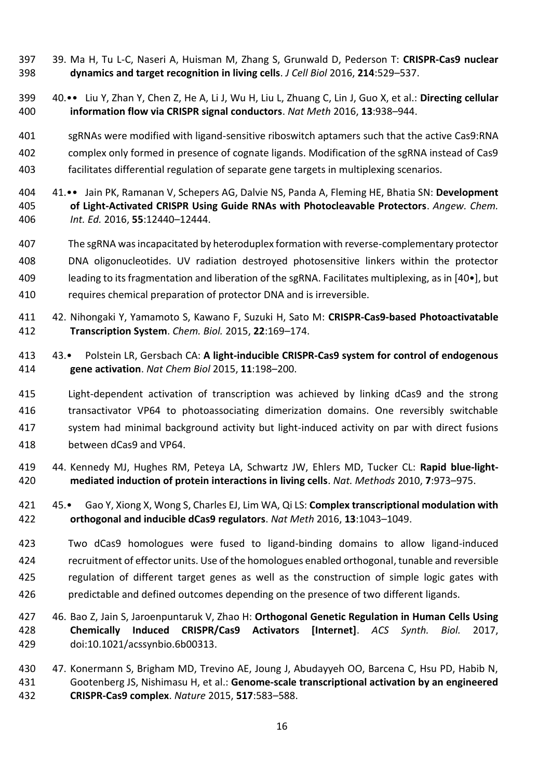- 39. Ma H, Tu L-C, Naseri A, Huisman M, Zhang S, Grunwald D, Pederson T: **CRISPR-Cas9 nuclear dynamics and target recognition in living cells**. *J Cell Biol* 2016, **214**:529–537.
- 40.•• Liu Y, Zhan Y, Chen Z, He A, Li J, Wu H, Liu L, Zhuang C, Lin J, Guo X, et al.: **Directing cellular information flow via CRISPR signal conductors**. *Nat Meth* 2016, **13**:938–944.
- sgRNAs were modified with ligand-sensitive riboswitch aptamers such that the active Cas9:RNA
- complex only formed in presence of cognate ligands. Modification of the sgRNA instead of Cas9
- facilitates differential regulation of separate gene targets in multiplexing scenarios.
- 41.•• Jain PK, Ramanan V, Schepers AG, Dalvie NS, Panda A, Fleming HE, Bhatia SN: **Development of Light-Activated CRISPR Using Guide RNAs with Photocleavable Protectors**. *Angew. Chem. Int. Ed.* 2016, **55**:12440–12444.
- The sgRNA was incapacitated by heteroduplex formation with reverse-complementary protector DNA oligonucleotides. UV radiation destroyed photosensitive linkers within the protector leading to its fragmentation and liberation of the sgRNA. Facilitates multiplexing, as in [40•], but requires chemical preparation of protector DNA and is irreversible.
- 42. Nihongaki Y, Yamamoto S, Kawano F, Suzuki H, Sato M: **CRISPR-Cas9-based Photoactivatable Transcription System**. *Chem. Biol.* 2015, **22**:169–174.
- 43.• Polstein LR, Gersbach CA: **A light-inducible CRISPR-Cas9 system for control of endogenous gene activation**. *Nat Chem Biol* 2015, **11**:198–200.
- Light-dependent activation of transcription was achieved by linking dCas9 and the strong transactivator VP64 to photoassociating dimerization domains. One reversibly switchable system had minimal background activity but light-induced activity on par with direct fusions between dCas9 and VP64.
- 44. Kennedy MJ, Hughes RM, Peteya LA, Schwartz JW, Ehlers MD, Tucker CL: **Rapid blue-light-mediated induction of protein interactions in living cells**. *Nat. Methods* 2010, **7**:973–975.
- 45.• Gao Y, Xiong X, Wong S, Charles EJ, Lim WA, Qi LS: **Complex transcriptional modulation with orthogonal and inducible dCas9 regulators**. *Nat Meth* 2016, **13**:1043–1049.
- Two dCas9 homologues were fused to ligand-binding domains to allow ligand-induced recruitment of effector units. Use of the homologues enabled orthogonal, tunable and reversible 425 regulation of different target genes as well as the construction of simple logic gates with predictable and defined outcomes depending on the presence of two different ligands.
- 46. Bao Z, Jain S, Jaroenpuntaruk V, Zhao H: **Orthogonal Genetic Regulation in Human Cells Using Chemically Induced CRISPR/Cas9 Activators [Internet]**. *ACS Synth. Biol.* 2017, doi:10.1021/acssynbio.6b00313.
- 47. Konermann S, Brigham MD, Trevino AE, Joung J, Abudayyeh OO, Barcena C, Hsu PD, Habib N, Gootenberg JS, Nishimasu H, et al.: **Genome-scale transcriptional activation by an engineered CRISPR-Cas9 complex**. *Nature* 2015, **517**:583–588.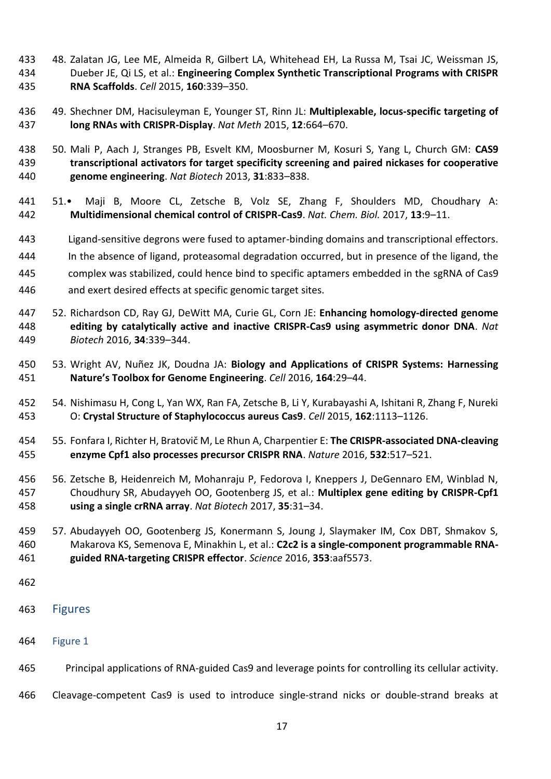- 48. Zalatan JG, Lee ME, Almeida R, Gilbert LA, Whitehead EH, La Russa M, Tsai JC, Weissman JS, Dueber JE, Qi LS, et al.: **Engineering Complex Synthetic Transcriptional Programs with CRISPR RNA Scaffolds**. *Cell* 2015, **160**:339–350.
- 49. Shechner DM, Hacisuleyman E, Younger ST, Rinn JL: **Multiplexable, locus-specific targeting of long RNAs with CRISPR-Display**. *Nat Meth* 2015, **12**:664–670.
- 50. Mali P, Aach J, Stranges PB, Esvelt KM, Moosburner M, Kosuri S, Yang L, Church GM: **CAS9 transcriptional activators for target specificity screening and paired nickases for cooperative genome engineering**. *Nat Biotech* 2013, **31**:833–838.
- 51.• Maji B, Moore CL, Zetsche B, Volz SE, Zhang F, Shoulders MD, Choudhary A: **Multidimensional chemical control of CRISPR-Cas9**. *Nat. Chem. Biol.* 2017, **13**:9–11.
- Ligand-sensitive degrons were fused to aptamer-binding domains and transcriptional effectors.
- In the absence of ligand, proteasomal degradation occurred, but in presence of the ligand, the
- complex was stabilized, could hence bind to specific aptamers embedded in the sgRNA of Cas9
- and exert desired effects at specific genomic target sites.
- 52. Richardson CD, Ray GJ, DeWitt MA, Curie GL, Corn JE: **Enhancing homology-directed genome editing by catalytically active and inactive CRISPR-Cas9 using asymmetric donor DNA**. *Nat Biotech* 2016, **34**:339–344.
- 53. Wright AV, Nuñez JK, Doudna JA: **Biology and Applications of CRISPR Systems: Harnessing Nature's Toolbox for Genome Engineering**. *Cell* 2016, **164**:29–44.
- 54. Nishimasu H, Cong L, Yan WX, Ran FA, Zetsche B, Li Y, Kurabayashi A, Ishitani R, Zhang F, Nureki O: **Crystal Structure of Staphylococcus aureus Cas9**. *Cell* 2015, **162**:1113–1126.
- 55. Fonfara I, Richter H, Bratovič M, Le Rhun A, Charpentier E: **The CRISPR-associated DNA-cleaving enzyme Cpf1 also processes precursor CRISPR RNA**. *Nature* 2016, **532**:517–521.
- 56. Zetsche B, Heidenreich M, Mohanraju P, Fedorova I, Kneppers J, DeGennaro EM, Winblad N, Choudhury SR, Abudayyeh OO, Gootenberg JS, et al.: **Multiplex gene editing by CRISPR-Cpf1 using a single crRNA array**. *Nat Biotech* 2017, **35**:31–34.
- 57. Abudayyeh OO, Gootenberg JS, Konermann S, Joung J, Slaymaker IM, Cox DBT, Shmakov S, Makarova KS, Semenova E, Minakhin L, et al.: **C2c2 is a single-component programmable RNA-guided RNA-targeting CRISPR effector**. *Science* 2016, **353**:aaf5573.
- 
- Figures
- Figure 1
- Principal applications of RNA-guided Cas9 and leverage points for controlling its cellular activity.
- Cleavage-competent Cas9 is used to introduce single-strand nicks or double-strand breaks at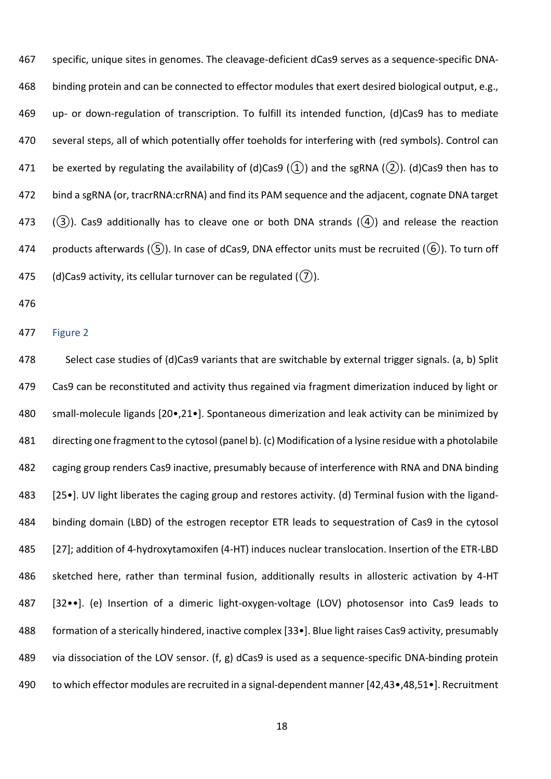specific, unique sites in genomes. The cleavage-deficient dCas9 serves as a sequence-specific DNA- binding protein and can be connected to effector modules that exert desired biological output, e.g., up- or down-regulation of transcription. To fulfill its intended function, (d)Cas9 has to mediate several steps, all of which potentially offer toeholds for interfering with (red symbols). Control can 471 be exerted by regulating the availability of (d)Cas9 ( $\overline{1}$ ) and the sgRNA ( $\overline{2}$ )). (d)Cas9 then has to bind a sgRNA (or, tracrRNA:crRNA) and find its PAM sequence and the adjacent, cognate DNA target 473 ( $(3)$ ). Cas9 additionally has to cleave one or both DNA strands ( $(4)$ ) and release the reaction 474 products afterwards ( $(5)$ ). In case of dCas9, DNA effector units must be recruited ( $(6)$ ). To turn off 475 (d)Cas9 activity, its cellular turnover can be regulated  $(2)$ ).

- 
- Figure 2

 Select case studies of (d)Cas9 variants that are switchable by external trigger signals. (a, b) Split Cas9 can be reconstituted and activity thus regained via fragment dimerization induced by light or small-molecule ligands [20•,21•]. Spontaneous dimerization and leak activity can be minimized by directing one fragment to the cytosol (panel b). (c) Modification of a lysine residue with a photolabile caging group renders Cas9 inactive, presumably because of interference with RNA and DNA binding 483 [25•]. UV light liberates the caging group and restores activity. (d) Terminal fusion with the ligand- binding domain (LBD) of the estrogen receptor ETR leads to sequestration of Cas9 in the cytosol [27]; addition of 4-hydroxytamoxifen (4-HT) induces nuclear translocation. Insertion of the ETR-LBD sketched here, rather than terminal fusion, additionally results in allosteric activation by 4-HT [32••]. (e) Insertion of a dimeric light-oxygen-voltage (LOV) photosensor into Cas9 leads to formation of a sterically hindered, inactive complex [33•]. Blue light raises Cas9 activity, presumably via dissociation of the LOV sensor. (f, g) dCas9 is used as a sequence-specific DNA-binding protein 490 to which effector modules are recruited in a signal-dependent manner [42,43•,48,51•]. Recruitment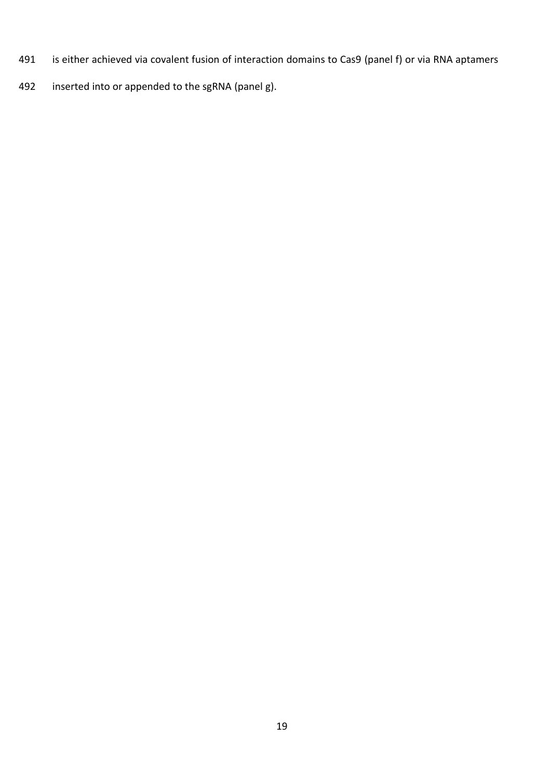- is either achieved via covalent fusion of interaction domains to Cas9 (panel f) or via RNA aptamers
- inserted into or appended to the sgRNA (panel g).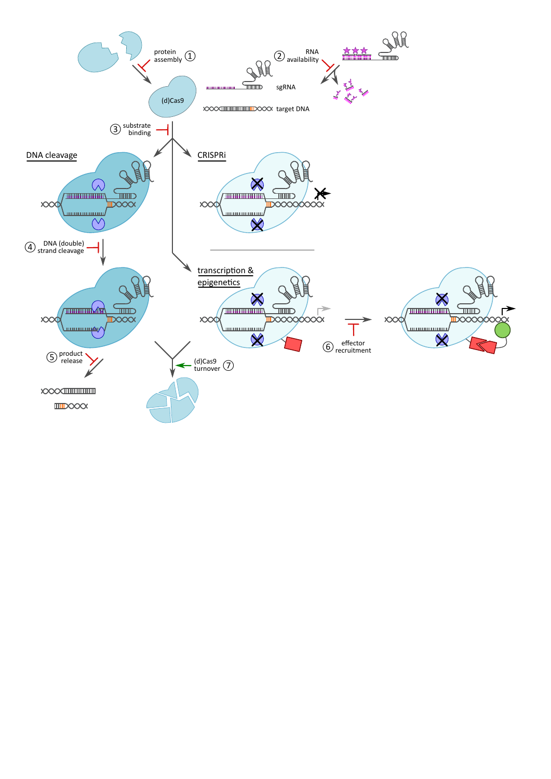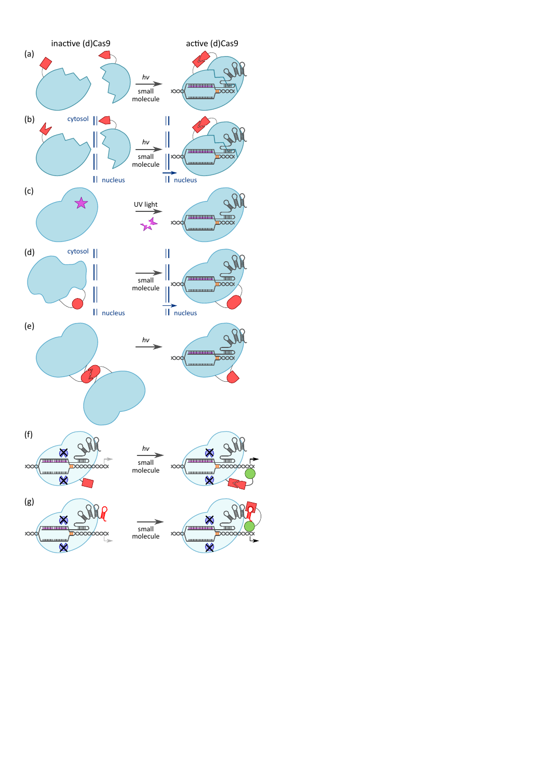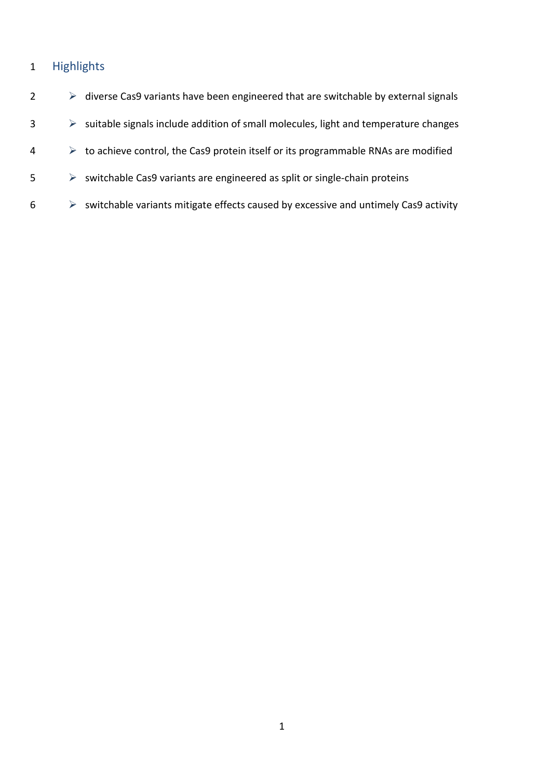# 1 Highlights

| $\overline{2}$ |   | $\triangleright$ diverse Cas9 variants have been engineered that are switchable by external signals  |
|----------------|---|------------------------------------------------------------------------------------------------------|
| 3              |   | $\triangleright$ suitable signals include addition of small molecules, light and temperature changes |
| 4              |   | $\triangleright$ to achieve control, the Cas9 protein itself or its programmable RNAs are modified   |
| 5              |   | $\triangleright$ switchable Cas9 variants are engineered as split or single-chain proteins           |
| 6              | ➤ | switchable variants mitigate effects caused by excessive and untimely Cas9 activity                  |